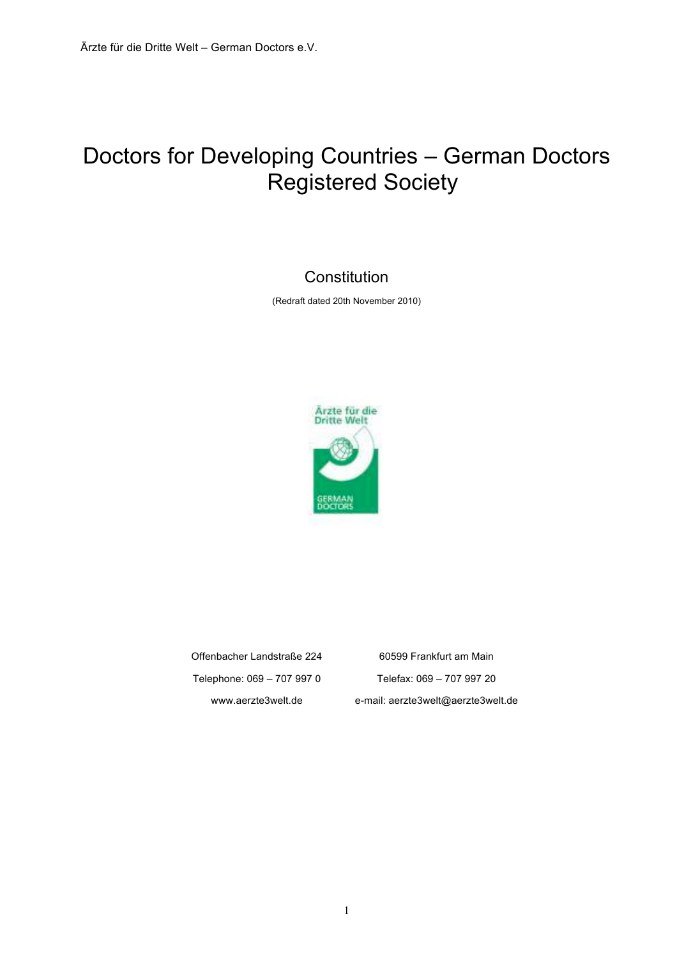# Doctors for Developing Countries – German Doctors Registered Society

## **Constitution**

(Redraft dated 20th November 2010)



Offenbacher Landstraße 224 60599 Frankfurt am Main Telephone: 069 – 707 997 0 Telefax: 069 – 707 997 20 www.aerzte3welt.de e-mail: aerzte3welt@aerzte3welt.de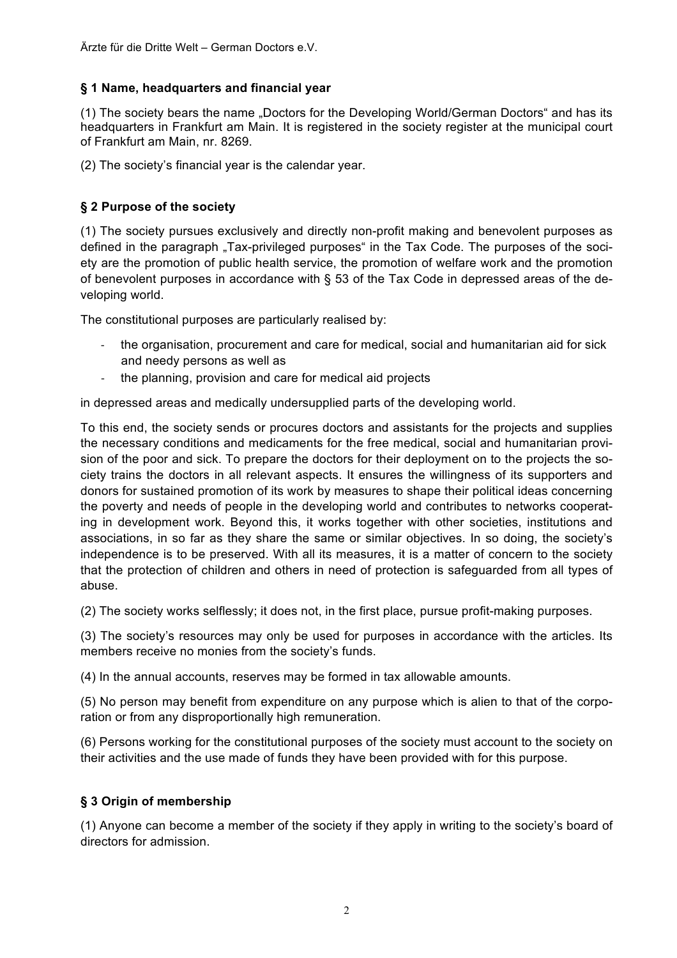#### **§ 1 Name, headquarters and financial year**

(1) The society bears the name "Doctors for the Developing World/German Doctors" and has its headquarters in Frankfurt am Main. It is registered in the society register at the municipal court of Frankfurt am Main, nr. 8269.

(2) The society's financial year is the calendar year.

#### **§ 2 Purpose of the society**

(1) The society pursues exclusively and directly non-profit making and benevolent purposes as defined in the paragraph "Tax-privileged purposes" in the Tax Code. The purposes of the society are the promotion of public health service, the promotion of welfare work and the promotion of benevolent purposes in accordance with § 53 of the Tax Code in depressed areas of the developing world.

The constitutional purposes are particularly realised by:

- the organisation, procurement and care for medical, social and humanitarian aid for sick and needy persons as well as
- the planning, provision and care for medical aid projects

in depressed areas and medically undersupplied parts of the developing world.

To this end, the society sends or procures doctors and assistants for the projects and supplies the necessary conditions and medicaments for the free medical, social and humanitarian provision of the poor and sick. To prepare the doctors for their deployment on to the projects the society trains the doctors in all relevant aspects. It ensures the willingness of its supporters and donors for sustained promotion of its work by measures to shape their political ideas concerning the poverty and needs of people in the developing world and contributes to networks cooperating in development work. Beyond this, it works together with other societies, institutions and associations, in so far as they share the same or similar objectives. In so doing, the society's independence is to be preserved. With all its measures, it is a matter of concern to the society that the protection of children and others in need of protection is safeguarded from all types of abuse.

(2) The society works selflessly; it does not, in the first place, pursue profit-making purposes.

(3) The society's resources may only be used for purposes in accordance with the articles. Its members receive no monies from the society's funds.

(4) In the annual accounts, reserves may be formed in tax allowable amounts.

(5) No person may benefit from expenditure on any purpose which is alien to that of the corporation or from any disproportionally high remuneration.

(6) Persons working for the constitutional purposes of the society must account to the society on their activities and the use made of funds they have been provided with for this purpose.

#### **§ 3 Origin of membership**

(1) Anyone can become a member of the society if they apply in writing to the society's board of directors for admission.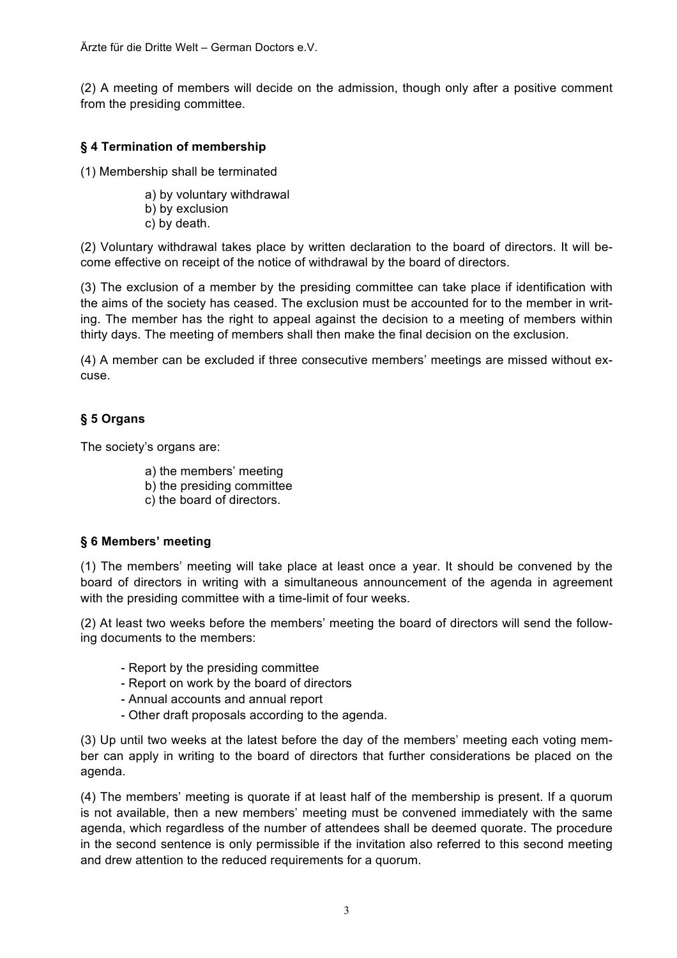(2) A meeting of members will decide on the admission, though only after a positive comment from the presiding committee.

### **§ 4 Termination of membership**

(1) Membership shall be terminated

- a) by voluntary withdrawal
- b) by exclusion
- c) by death.

(2) Voluntary withdrawal takes place by written declaration to the board of directors. It will become effective on receipt of the notice of withdrawal by the board of directors.

(3) The exclusion of a member by the presiding committee can take place if identification with the aims of the society has ceased. The exclusion must be accounted for to the member in writing. The member has the right to appeal against the decision to a meeting of members within thirty days. The meeting of members shall then make the final decision on the exclusion.

(4) A member can be excluded if three consecutive members' meetings are missed without excuse.

#### **§ 5 Organs**

The society's organs are:

- a) the members' meeting
- b) the presiding committee
- c) the board of directors.

#### **§ 6 Members' meeting**

(1) The members' meeting will take place at least once a year. It should be convened by the board of directors in writing with a simultaneous announcement of the agenda in agreement with the presiding committee with a time-limit of four weeks.

(2) At least two weeks before the members' meeting the board of directors will send the following documents to the members:

- Report by the presiding committee
- Report on work by the board of directors
- Annual accounts and annual report
- Other draft proposals according to the agenda.

(3) Up until two weeks at the latest before the day of the members' meeting each voting member can apply in writing to the board of directors that further considerations be placed on the agenda.

(4) The members' meeting is quorate if at least half of the membership is present. If a quorum is not available, then a new members' meeting must be convened immediately with the same agenda, which regardless of the number of attendees shall be deemed quorate. The procedure in the second sentence is only permissible if the invitation also referred to this second meeting and drew attention to the reduced requirements for a quorum.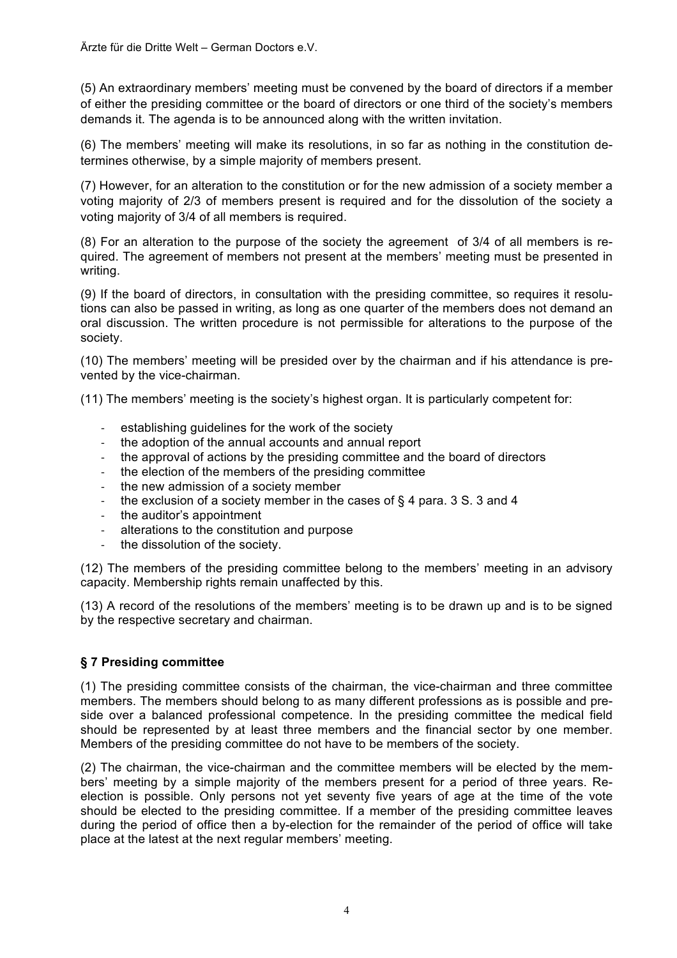(5) An extraordinary members' meeting must be convened by the board of directors if a member of either the presiding committee or the board of directors or one third of the society's members demands it. The agenda is to be announced along with the written invitation.

(6) The members' meeting will make its resolutions, in so far as nothing in the constitution determines otherwise, by a simple majority of members present.

(7) However, for an alteration to the constitution or for the new admission of a society member a voting majority of 2/3 of members present is required and for the dissolution of the society a voting majority of 3/4 of all members is required.

(8) For an alteration to the purpose of the society the agreement of 3/4 of all members is required. The agreement of members not present at the members' meeting must be presented in writing.

(9) If the board of directors, in consultation with the presiding committee, so requires it resolutions can also be passed in writing, as long as one quarter of the members does not demand an oral discussion. The written procedure is not permissible for alterations to the purpose of the society.

(10) The members' meeting will be presided over by the chairman and if his attendance is prevented by the vice-chairman.

(11) The members' meeting is the society's highest organ. It is particularly competent for:

- establishing guidelines for the work of the society
- the adoption of the annual accounts and annual report
- the approval of actions by the presiding committee and the board of directors
- the election of the members of the presiding committee
- the new admission of a society member
- the exclusion of a society member in the cases of  $\S$  4 para. 3 S. 3 and 4
- the auditor's appointment
- alterations to the constitution and purpose
- the dissolution of the society.

(12) The members of the presiding committee belong to the members' meeting in an advisory capacity. Membership rights remain unaffected by this.

(13) A record of the resolutions of the members' meeting is to be drawn up and is to be signed by the respective secretary and chairman.

#### **§ 7 Presiding committee**

(1) The presiding committee consists of the chairman, the vice-chairman and three committee members. The members should belong to as many different professions as is possible and preside over a balanced professional competence. In the presiding committee the medical field should be represented by at least three members and the financial sector by one member. Members of the presiding committee do not have to be members of the society.

(2) The chairman, the vice-chairman and the committee members will be elected by the members' meeting by a simple majority of the members present for a period of three years. Reelection is possible. Only persons not yet seventy five years of age at the time of the vote should be elected to the presiding committee. If a member of the presiding committee leaves during the period of office then a by-election for the remainder of the period of office will take place at the latest at the next regular members' meeting.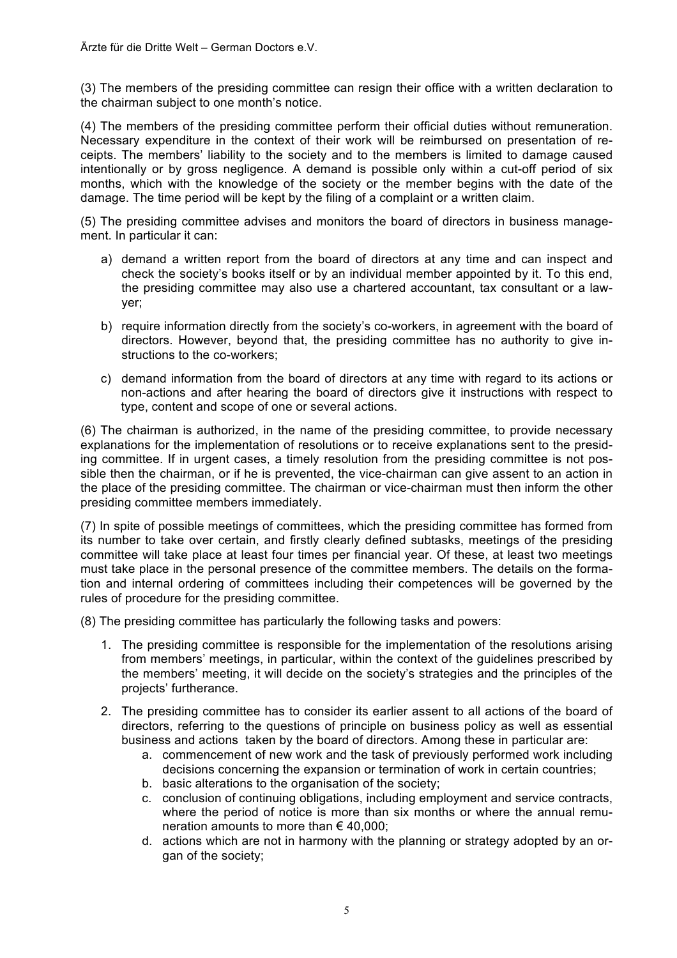(3) The members of the presiding committee can resign their office with a written declaration to the chairman subject to one month's notice.

(4) The members of the presiding committee perform their official duties without remuneration. Necessary expenditure in the context of their work will be reimbursed on presentation of receipts. The members' liability to the society and to the members is limited to damage caused intentionally or by gross negligence. A demand is possible only within a cut-off period of six months, which with the knowledge of the society or the member begins with the date of the damage. The time period will be kept by the filing of a complaint or a written claim.

(5) The presiding committee advises and monitors the board of directors in business management. In particular it can:

- a) demand a written report from the board of directors at any time and can inspect and check the society's books itself or by an individual member appointed by it. To this end, the presiding committee may also use a chartered accountant, tax consultant or a lawyer;
- b) require information directly from the society's co-workers, in agreement with the board of directors. However, beyond that, the presiding committee has no authority to give instructions to the co-workers;
- c) demand information from the board of directors at any time with regard to its actions or non-actions and after hearing the board of directors give it instructions with respect to type, content and scope of one or several actions.

(6) The chairman is authorized, in the name of the presiding committee, to provide necessary explanations for the implementation of resolutions or to receive explanations sent to the presiding committee. If in urgent cases, a timely resolution from the presiding committee is not possible then the chairman, or if he is prevented, the vice-chairman can give assent to an action in the place of the presiding committee. The chairman or vice-chairman must then inform the other presiding committee members immediately.

(7) In spite of possible meetings of committees, which the presiding committee has formed from its number to take over certain, and firstly clearly defined subtasks, meetings of the presiding committee will take place at least four times per financial year. Of these, at least two meetings must take place in the personal presence of the committee members. The details on the formation and internal ordering of committees including their competences will be governed by the rules of procedure for the presiding committee.

(8) The presiding committee has particularly the following tasks and powers:

- 1. The presiding committee is responsible for the implementation of the resolutions arising from members' meetings, in particular, within the context of the guidelines prescribed by the members' meeting, it will decide on the society's strategies and the principles of the projects' furtherance.
- 2. The presiding committee has to consider its earlier assent to all actions of the board of directors, referring to the questions of principle on business policy as well as essential business and actions taken by the board of directors. Among these in particular are:
	- a. commencement of new work and the task of previously performed work including decisions concerning the expansion or termination of work in certain countries;
	- b. basic alterations to the organisation of the society;
	- c. conclusion of continuing obligations, including employment and service contracts, where the period of notice is more than six months or where the annual remuneration amounts to more than  $\epsilon$  40,000;
	- d. actions which are not in harmony with the planning or strategy adopted by an organ of the society;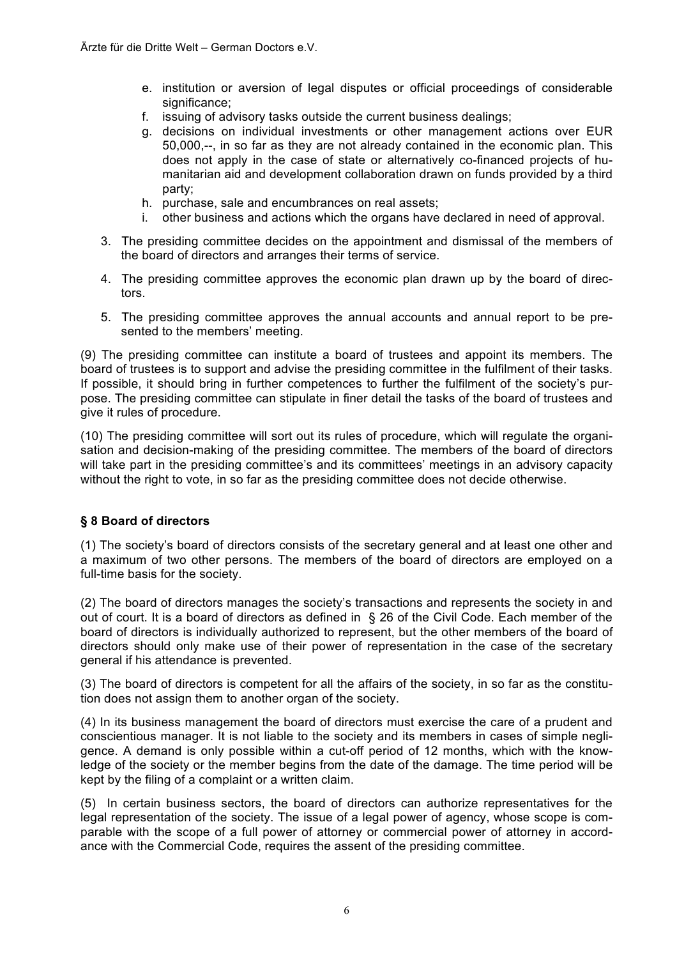- e. institution or aversion of legal disputes or official proceedings of considerable significance:
- f. issuing of advisory tasks outside the current business dealings;
- g. decisions on individual investments or other management actions over EUR 50,000,--, in so far as they are not already contained in the economic plan. This does not apply in the case of state or alternatively co-financed projects of humanitarian aid and development collaboration drawn on funds provided by a third party;
- h. purchase, sale and encumbrances on real assets;
- i. other business and actions which the organs have declared in need of approval.
- 3. The presiding committee decides on the appointment and dismissal of the members of the board of directors and arranges their terms of service.
- 4. The presiding committee approves the economic plan drawn up by the board of directors.
- 5. The presiding committee approves the annual accounts and annual report to be presented to the members' meeting.

(9) The presiding committee can institute a board of trustees and appoint its members. The board of trustees is to support and advise the presiding committee in the fulfilment of their tasks. If possible, it should bring in further competences to further the fulfilment of the society's purpose. The presiding committee can stipulate in finer detail the tasks of the board of trustees and give it rules of procedure.

(10) The presiding committee will sort out its rules of procedure, which will regulate the organisation and decision-making of the presiding committee. The members of the board of directors will take part in the presiding committee's and its committees' meetings in an advisory capacity without the right to vote, in so far as the presiding committee does not decide otherwise.

#### **§ 8 Board of directors**

(1) The society's board of directors consists of the secretary general and at least one other and a maximum of two other persons. The members of the board of directors are employed on a full-time basis for the society.

(2) The board of directors manages the society's transactions and represents the society in and out of court. It is a board of directors as defined in § 26 of the Civil Code. Each member of the board of directors is individually authorized to represent, but the other members of the board of directors should only make use of their power of representation in the case of the secretary general if his attendance is prevented.

(3) The board of directors is competent for all the affairs of the society, in so far as the constitution does not assign them to another organ of the society.

(4) In its business management the board of directors must exercise the care of a prudent and conscientious manager. It is not liable to the society and its members in cases of simple negligence. A demand is only possible within a cut-off period of 12 months, which with the knowledge of the society or the member begins from the date of the damage. The time period will be kept by the filing of a complaint or a written claim.

(5) In certain business sectors, the board of directors can authorize representatives for the legal representation of the society. The issue of a legal power of agency, whose scope is comparable with the scope of a full power of attorney or commercial power of attorney in accordance with the Commercial Code, requires the assent of the presiding committee.